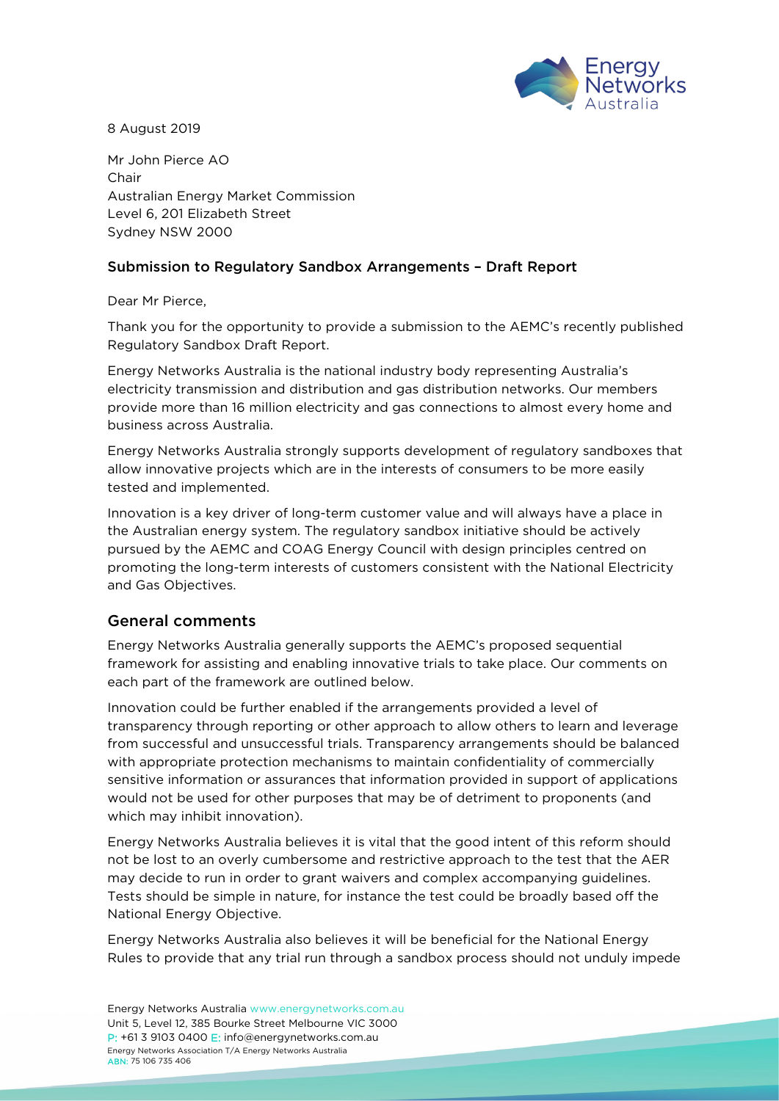

8 August 2019

Mr John Pierce AO Chair Australian Energy Market Commission Level 6, 201 Elizabeth Street Sydney NSW 2000

### Submission to Regulatory Sandbox Arrangements – Draft Report

Dear Mr Pierce,

Thank you for the opportunity to provide a submission to the AEMC's recently published Regulatory Sandbox Draft Report.

Energy Networks Australia is the national industry body representing Australia's electricity transmission and distribution and gas distribution networks. Our members provide more than 16 million electricity and gas connections to almost every home and business across Australia.

Energy Networks Australia strongly supports development of regulatory sandboxes that allow innovative projects which are in the interests of consumers to be more easily tested and implemented.

Innovation is a key driver of long-term customer value and will always have a place in the Australian energy system. The regulatory sandbox initiative should be actively pursued by the AEMC and COAG Energy Council with design principles centred on promoting the long-term interests of customers consistent with the National Electricity and Gas Objectives.

### General comments

Energy Networks Australia generally supports the AEMC's proposed sequential framework for assisting and enabling innovative trials to take place. Our comments on each part of the framework are outlined below.

Innovation could be further enabled if the arrangements provided a level of transparency through reporting or other approach to allow others to learn and leverage from successful and unsuccessful trials. Transparency arrangements should be balanced with appropriate protection mechanisms to maintain confidentiality of commercially sensitive information or assurances that information provided in support of applications would not be used for other purposes that may be of detriment to proponents (and which may inhibit innovation).

Energy Networks Australia believes it is vital that the good intent of this reform should not be lost to an overly cumbersome and restrictive approach to the test that the AER may decide to run in order to grant waivers and complex accompanying guidelines. Tests should be simple in nature, for instance the test could be broadly based off the National Energy Objective.

Energy Networks Australia also believes it will be beneficial for the National Energy Rules to provide that any trial run through a sandbox process should not unduly impede

Energy Networks Australia [www.energynetworks.com.au](http://www.energynetworks.com.au/) Unit 5, Level 12, 385 Bourke Street Melbourne VIC 3000 P: +61 3 9103 0400 E: [info@energynetworks.com.au](mailto:info@energynetworks.com.au) Energy Networks Association T/A Energy Networks Australia ABN: 75 106 735 406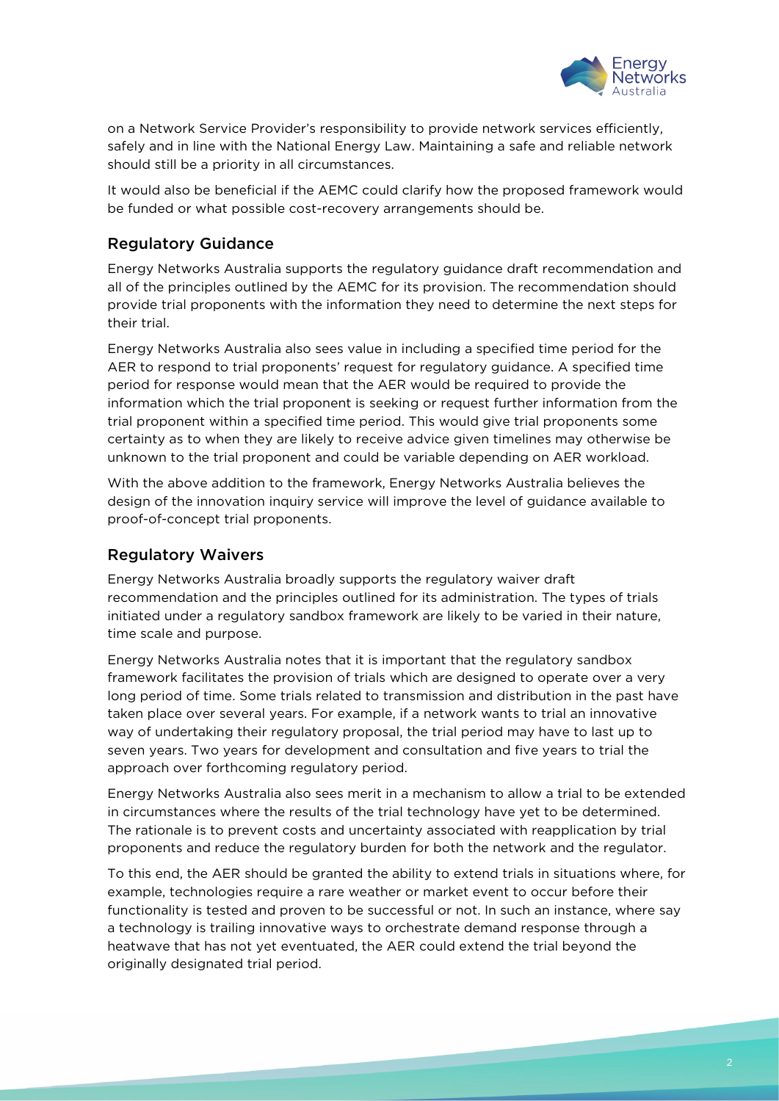

on a Network Service Provider's responsibility to provide network services efficiently, safely and in line with the National Energy Law. Maintaining a safe and reliable network should still be a priority in all circumstances.

It would also be beneficial if the AEMC could clarify how the proposed framework would be funded or what possible cost-recovery arrangements should be.

## Regulatory Guidance

Energy Networks Australia supports the regulatory guidance draft recommendation and all of the principles outlined by the AEMC for its provision. The recommendation should provide trial proponents with the information they need to determine the next steps for their trial.

Energy Networks Australia also sees value in including a specified time period for the AER to respond to trial proponents' request for regulatory guidance. A specified time period for response would mean that the AER would be required to provide the information which the trial proponent is seeking or request further information from the trial proponent within a specified time period. This would give trial proponents some certainty as to when they are likely to receive advice given timelines may otherwise be unknown to the trial proponent and could be variable depending on AER workload.

With the above addition to the framework, Energy Networks Australia believes the design of the innovation inquiry service will improve the level of guidance available to proof-of-concept trial proponents.

### Regulatory Waivers

Energy Networks Australia broadly supports the regulatory waiver draft recommendation and the principles outlined for its administration. The types of trials initiated under a regulatory sandbox framework are likely to be varied in their nature, time scale and purpose.

Energy Networks Australia notes that it is important that the regulatory sandbox framework facilitates the provision of trials which are designed to operate over a very long period of time. Some trials related to transmission and distribution in the past have taken place over several years. For example, if a network wants to trial an innovative way of undertaking their regulatory proposal, the trial period may have to last up to seven years. Two years for development and consultation and five years to trial the approach over forthcoming regulatory period.

Energy Networks Australia also sees merit in a mechanism to allow a trial to be extended in circumstances where the results of the trial technology have yet to be determined. The rationale is to prevent costs and uncertainty associated with reapplication by trial proponents and reduce the regulatory burden for both the network and the regulator.

To this end, the AER should be granted the ability to extend trials in situations where, for example, technologies require a rare weather or market event to occur before their functionality is tested and proven to be successful or not. In such an instance, where say a technology is trailing innovative ways to orchestrate demand response through a heatwave that has not yet eventuated, the AER could extend the trial beyond the originally designated trial period.